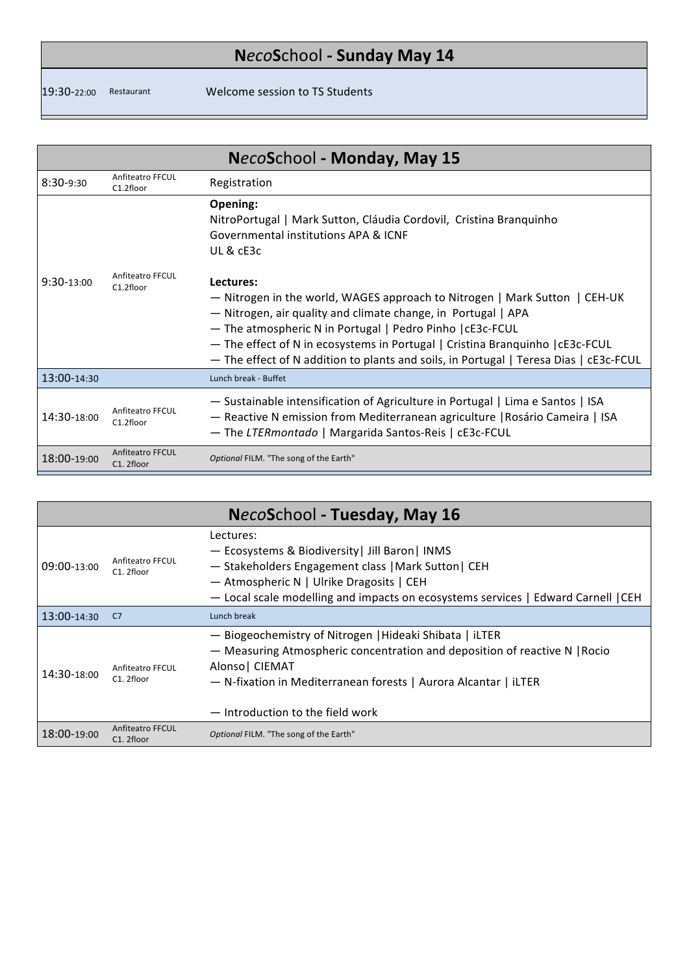## **N***eco***S**chool **- Sunday May 14**

<u> 1989 - Johann Barnett, mars eta inperiodo</u>

19:30-22:00 Restaurant Welcome session to TS Students

| NecoSchool - Monday, May 15 |                                       |                                                                                                                                                                                                                                                                                                                                                                                                 |  |
|-----------------------------|---------------------------------------|-------------------------------------------------------------------------------------------------------------------------------------------------------------------------------------------------------------------------------------------------------------------------------------------------------------------------------------------------------------------------------------------------|--|
| $8:30-9:30$                 | Anfiteatro FFCUL<br>C1.2floor         | Registration                                                                                                                                                                                                                                                                                                                                                                                    |  |
|                             |                                       | Opening:<br>NitroPortugal   Mark Sutton, Cláudia Cordovil, Cristina Branquinho<br>Governmental institutions APA & ICNF<br>UL & cE3c                                                                                                                                                                                                                                                             |  |
| $9:30-13:00$                | Anfiteatro FFCUL<br>C1.2floor         | Lectures:<br>- Nitrogen in the world, WAGES approach to Nitrogen   Mark Sutton   CEH-UK<br>- Nitrogen, air quality and climate change, in Portugal   APA<br>- The atmospheric N in Portugal   Pedro Pinho   cE3c-FCUL<br>- The effect of N in ecosystems in Portugal   Cristina Branquinho   cE3c-FCUL<br>- The effect of N addition to plants and soils, in Portugal   Teresa Dias   cE3c-FCUL |  |
| 13:00-14:30                 |                                       | Lunch break - Buffet                                                                                                                                                                                                                                                                                                                                                                            |  |
| 14:30-18:00                 | Anfiteatro FFCUL<br>C1.2floor         | - Sustainable intensification of Agriculture in Portugal   Lima e Santos   ISA<br>- Reactive N emission from Mediterranean agriculture   Rosário Cameira   ISA<br>- The LTERmontado   Margarida Santos-Reis   cE3c-FCUL                                                                                                                                                                         |  |
| 18:00-19:00                 | <b>Anfiteatro FFCUL</b><br>C1. 2floor | Optional FILM. "The song of the Earth"                                                                                                                                                                                                                                                                                                                                                          |  |

|             |                                             | NecoSchool - Tuesday, May 16                                                                                                                                                                                                                                    |
|-------------|---------------------------------------------|-----------------------------------------------------------------------------------------------------------------------------------------------------------------------------------------------------------------------------------------------------------------|
| 09:00-13:00 | Anfiteatro FFCUL<br>C1. 2floor              | Lectures:<br>- Ecosystems & Biodiversity   Jill Baron   INMS<br>- Stakeholders Engagement class   Mark Sutton   CEH<br>- Atmospheric N   Ulrike Dragosits   CEH<br>- Local scale modelling and impacts on ecosystems services   Edward Carnell   CEH            |
| 13:00-14:30 | C7                                          | Lunch break                                                                                                                                                                                                                                                     |
| 14:30-18:00 | Anfiteatro FFCUL<br>C <sub>1</sub> . 2floor | - Biogeochemistry of Nitrogen   Hideaki Shibata   iLTER<br>- Measuring Atmospheric concentration and deposition of reactive N   Rocio<br>Alonso   CIEMAT<br>- N-fixation in Mediterranean forests   Aurora Alcantar   iLTER<br>— Introduction to the field work |
| 18:00-19:00 | Anfiteatro FFCUL<br>C1. 2floor              | Optional FILM. "The song of the Earth"                                                                                                                                                                                                                          |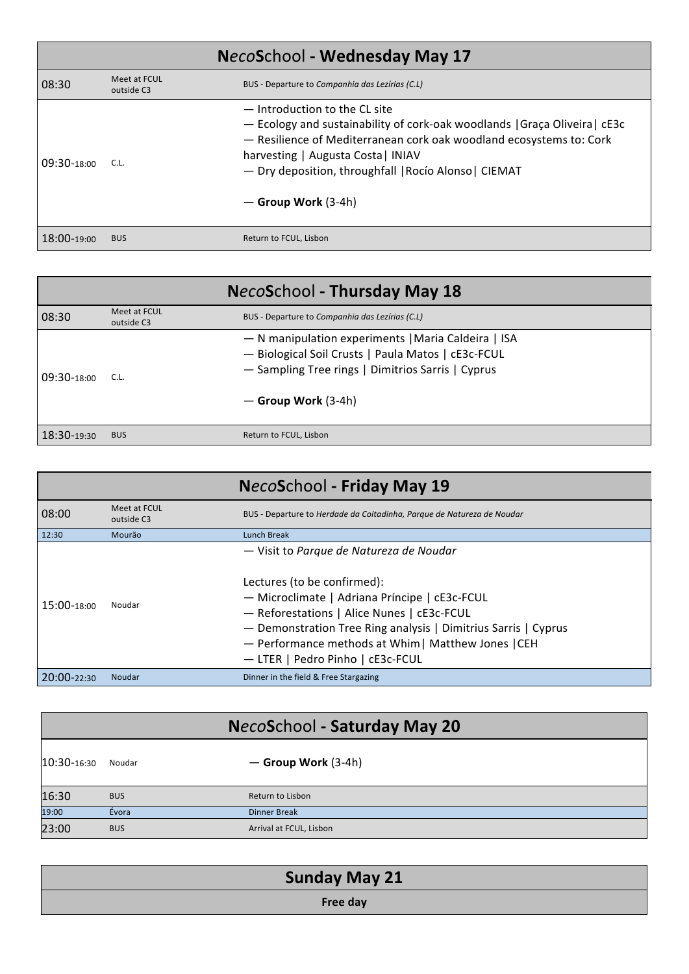| NecoSchool - Wednesday May 17 |                            |                                                                                                                                                                                                                                                                                                            |
|-------------------------------|----------------------------|------------------------------------------------------------------------------------------------------------------------------------------------------------------------------------------------------------------------------------------------------------------------------------------------------------|
| 08:30                         | Meet at FCUL<br>outside C3 | BUS - Departure to Companhia das Lezírias (C.L)                                                                                                                                                                                                                                                            |
| 09:30-18:00                   | C.L.                       | - Introduction to the CL site<br>- Ecology and sustainability of cork-oak woodlands   Graça Oliveira   cE3c<br>- Resilience of Mediterranean cork oak woodland ecosystems to: Cork<br>harvesting   Augusta Costa   INIAV<br>- Dry deposition, throughfall   Rocío Alonso   CIEMAT<br>$-$ Group Work (3-4h) |
| 18:00-19:00                   | <b>BUS</b>                 | Return to FCUL, Lisbon                                                                                                                                                                                                                                                                                     |

| NecoSchool - Thursday May 18 |                            |                                                                                                                                                                                           |
|------------------------------|----------------------------|-------------------------------------------------------------------------------------------------------------------------------------------------------------------------------------------|
| 08:30                        | Meet at FCUL<br>outside C3 | BUS - Departure to Companhia das Lezírias (C.L)                                                                                                                                           |
| 09:30-18:00                  | C.L.                       | - N manipulation experiments   Maria Caldeira   ISA<br>- Biological Soil Crusts   Paula Matos   cE3c-FCUL<br>- Sampling Tree rings   Dimitrios Sarris   Cyprus<br>$-$ Group Work $(3-4h)$ |
| 18:30-19:30                  | <b>BUS</b>                 | Return to FCUL, Lisbon                                                                                                                                                                    |

|                 |                            | NecoSchool - Friday May 19                                                                                                                                                                                                                                                              |
|-----------------|----------------------------|-----------------------------------------------------------------------------------------------------------------------------------------------------------------------------------------------------------------------------------------------------------------------------------------|
| 08:00           | Meet at FCUL<br>outside C3 | BUS - Departure to Herdade da Coitadinha, Parque de Natureza de Noudar                                                                                                                                                                                                                  |
| 12:30           | Mourão                     | Lunch Break                                                                                                                                                                                                                                                                             |
|                 |                            | - Visit to Parque de Natureza de Noudar                                                                                                                                                                                                                                                 |
| 15:00-18:00     | Noudar                     | Lectures (to be confirmed):<br>- Microclimate   Adriana Príncipe   cE3c-FCUL<br>- Reforestations   Alice Nunes   cE3c-FCUL<br>- Demonstration Tree Ring analysis   Dimitrius Sarris   Cyprus<br>- Performance methods at Whim   Matthew Jones   CEH<br>- LTER   Pedro Pinho   cE3c-FCUL |
| $20:00 - 22:30$ | Noudar                     | Dinner in the field & Free Stargazing                                                                                                                                                                                                                                                   |

| NecoSchool - Saturday May 20 |            |                         |
|------------------------------|------------|-------------------------|
| $10:30 - 16:30$              | Noudar     | $-$ Group Work (3-4h)   |
| 16:30                        | <b>BUS</b> | Return to Lisbon        |
| 19:00                        | Évora      | <b>Dinner Break</b>     |
| 23:00                        | <b>BUS</b> | Arrival at FCUL, Lisbon |

| <b>Sunday May 21</b> |  |
|----------------------|--|
| Free day             |  |